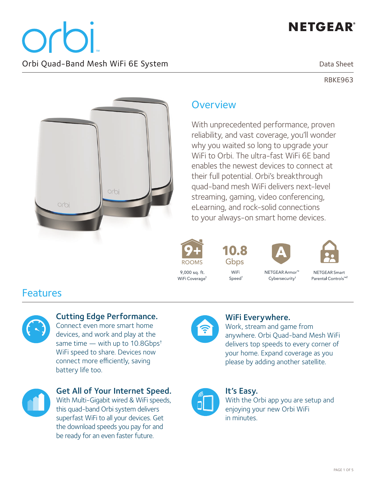Orb Orbi Quad-Band Mesh WiFi 6E System

Data Sheet

RBKE963



### **Overview**

With unprecedented performance, proven reliability, and vast coverage, you'll wonder why you waited so long to upgrade your WiFi to Orbi. The ultra-fast WiFi 6F band enables the newest devices to connect at their full potential. Orbi's breakthrough quad-band mesh WiFi delivers next-level streaming, gaming, video conferencing, eLearning, and rock-solid connections to your always-on smart home devices.



10.8 Gbps

WiFi

Speed<sup>+</sup>



NETGEAR Armor<sup>™</sup>

Cybersecurity<sup>1</sup>



NFTGFAR Smart Parental Controls<sup>™2</sup>

### Features



#### Cutting Edge Performance.

Connect even more smart home devices, and work and play at the same time — with up to 10.8Gbps<sup>+</sup> WiFi speed to share. Devices now connect more efficiently, saving battery life too.



Get All of Your Internet Speed. With Multi-Gigabit wired & WiFi speeds, this quad-band Orbi system delivers superfast WiFi to all your devices. Get the download speeds you pay for and be ready for an even faster future.



#### WiFi Everywhere.

Work, stream and game from anywhere. Orbi Quad-band Mesh WiFi delivers top speeds to every corner of your home. Expand coverage as you please by adding another satellite.



It's Easy. With the Orbi app you are setup and enjoying your new Orbi WiFi in minutes.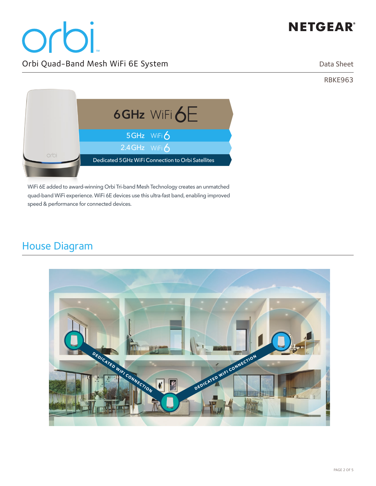# orbi Orbi Quad-Band Mesh WiFi 6E System

Data Sheet

RBKE963



WiFi 6E added to award-winning Orbi Tri-band Mesh Technology creates an unmatched quad-band WiFi experience. WiFi 6E devices use this ultra-fast band, enabling improved speed & performance for connected devices.

## House Diagram

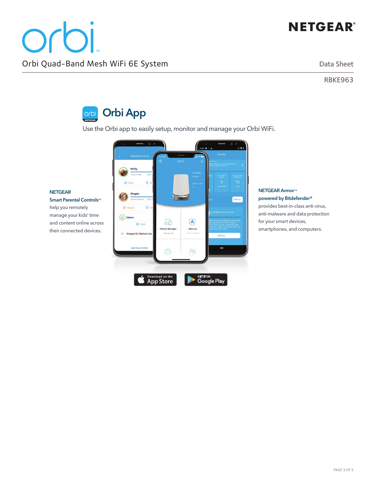**NETGEAR Armor**™ **powered by Bitdefender®** provides best-in-class anti-virus, anti-malware and data protection

for your smart devices, smartphones, and computers.

Data Sheet

RBKE963



Use the Orbi app to easily setup, monitor and manage your Orbi WiFi.



**NETGEAR** 

**Smart Parental Controls**™ help you remotely manage your kids' time and content online across their connected devices.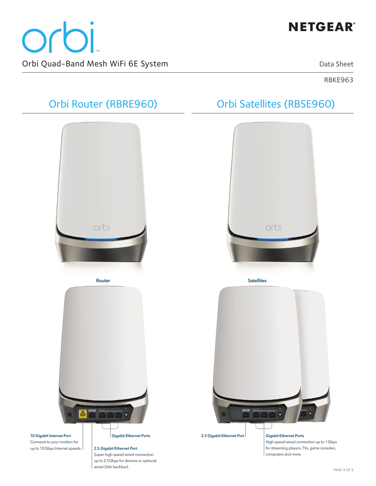# orbi Orbi Quad-Band Mesh WiFi 6E System

## **NETGEAR®**

Data Sheet

RBKE963

# Orbi Router (RBRE960) Orbi Satellites (RBSE960) orbi orbi **Router Satellites 10 Gigabit Internet Port Gigabit Ethernet Ports 2.5 Gigabit Ethernet PortGigabit Ethernet Ports** Connects to your modem for High-speed wired connection up to 1Gbps up to 10Gbps Internet speeds. **2.5 Gigabit Ethernet Port** for streaming players, TVs, game consoles, computers and more. Super high-speed wired connection up to 2.5Gbps for devices or optional wired Orbi backhaul.